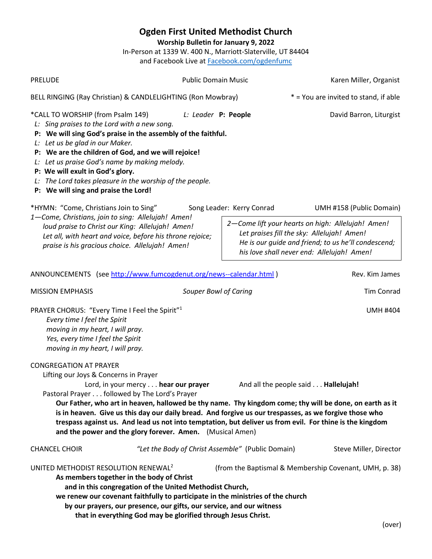**Ogden First United Methodist Church Worship Bulletin for January 9, 2022** In-Person at 1339 W. 400 N., Marriott-Slaterville, UT 84404 and Facebook Live at [Facebook.com/ogdenfumc](https://www.facebook.com/ogdenfumc) PRELUDE **PUBLIC Domain Music** Public Domain Music **Relations** Karen Miller, Organist BELL RINGING (Ray Christian) & CANDLELIGHTING (Ron Mowbray)  $*$  = You are invited to stand, if able \*CALL TO WORSHIP (from Psalm 149) *L: Leader* **P: People** David Barron, Liturgist *L: Sing praises to the Lord with a new song.* **P: We will sing God's praise in the assembly of the faithful.** *L: Let us be glad in our Maker.* **P: We are the children of God, and we will rejoice!** *L: Let us praise God's name by making melody.* **P: We will exult in God's glory.** *L: The Lord takes pleasure in the worship of the people.* **P: We will sing and praise the Lord!** \*HYMN: "Come, Christians Join to Sing" Song Leader: Kerry Conrad UMH #158 (Public Domain) *1—Come, Christians, join to sing: Allelujah! Amen! loud praise to Christ our King: Allelujah! Amen! Let all, with heart and voice, before his throne rejoice; praise is his gracious choice. Allelujah! Amen!* ANNOUNCEMENTS (see<http://www.fumcogdenut.org/news--calendar.html> ) Rev. Kim James MISSION EMPHASIS **Souper Bowl of Caring Souper Bowl Caring** Tim Conrad PRAYER CHORUS: "Every Time I Feel the Spirit"<sup>1</sup> UMH #404 *Every time I feel the Spirit moving in my heart, I will pray. Yes, every time I feel the Spirit moving in my heart, I will pray.* CONGREGATION AT PRAYER Lifting our Joys & Concerns in Prayer Lord, in your mercy . . . **hear our prayer** And all the people said . . . **Hallelujah!**  Pastoral Prayer . . . followed by The Lord's Prayer **Our Father, who art in heaven, hallowed be thy name. Thy kingdom come; thy will be done, on earth as it is in heaven. Give us this day our daily bread. And forgive us our trespasses, as we forgive those who trespass against us. And lead us not into temptation, but deliver us from evil. For thine is the kingdom and the power and the glory forever. Amen.** (Musical Amen) CHANCEL CHOIR *"Let the Body of Christ Assemble"* (Public Domain)Steve Miller, Director UNITED METHODIST RESOLUTION RENEWAL<sup>2</sup> (from the Baptismal & Membership Covenant, UMH, p. 38) **As members together in the body of Christ and in this congregation of the United Methodist Church, we renew our covenant faithfully to participate in the ministries of the church by our prayers, our presence, our gifts, our service, and our witness that in everything God may be glorified through Jesus Christ.** (over) *2—Come lift your hearts on high: Allelujah! Amen! Let praises fill the sky: Allelujah! Amen! He is our guide and friend; to us he'll condescend; his love shall never end: Allelujah! Amen!*